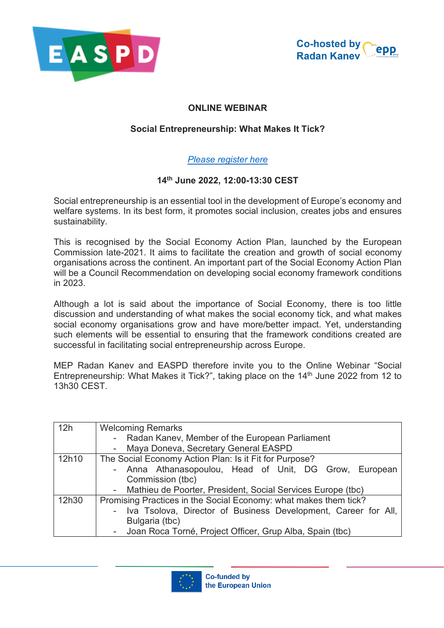



## **ONLINE WEBINAR**

## **Social Entrepreneurship: What Makes It Tick?**

## *[Please register here](https://us02web.zoom.us/webinar/register/WN_62fylrChRQiIG4zqp4UMqQ)*

## **14th June 2022, 12:00-13:30 CEST**

Social entrepreneurship is an essential tool in the development of Europe's economy and welfare systems. In its best form, it promotes social inclusion, creates jobs and ensures sustainability.

This is recognised by the Social Economy Action Plan, launched by the European Commission late-2021. It aims to facilitate the creation and growth of social economy organisations across the continent. An important part of the Social Economy Action Plan will be a Council Recommendation on developing social economy framework conditions in 2023.

Although a lot is said about the importance of Social Economy, there is too little discussion and understanding of what makes the social economy tick, and what makes social economy organisations grow and have more/better impact. Yet, understanding such elements will be essential to ensuring that the framework conditions created are successful in facilitating social entrepreneurship across Europe.

MEP Radan Kanev and EASPD therefore invite you to the Online Webinar "Social Entrepreneurship: What Makes it Tick?", taking place on the  $14<sup>th</sup>$  June 2022 from 12 to 13h30 CEST.

| 12h   | <b>Welcoming Remarks</b>                                         |
|-------|------------------------------------------------------------------|
|       | - Radan Kanev, Member of the European Parliament                 |
|       | Maya Doneva, Secretary General EASPD                             |
| 12h10 | The Social Economy Action Plan: Is it Fit for Purpose?           |
|       | - Anna Athanasopoulou, Head of Unit, DG Grow, European           |
|       | Commission (tbc)                                                 |
|       | - Mathieu de Poorter, President, Social Services Europe (tbc)    |
| 12h30 | Promising Practices in the Social Economy: what makes them tick? |
|       | - Iva Tsolova, Director of Business Development, Career for All, |
|       | Bulgaria (tbc)                                                   |
|       | - Joan Roca Torné, Project Officer, Grup Alba, Spain (tbc)       |